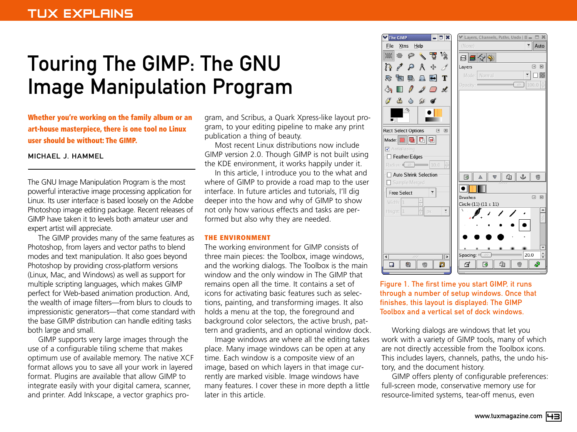# Touring The GIMP: The GNU Image Manipulation Program

**Whether you're working on the family album or an art-house masterpiece, there is one tool no Linux user should be without: The GIMP.**

## MICHAEL J. HAMMEL

The GNU Image Manipulation Program is the most powerful interactive image processing application for Linux. Its user interface is based loosely on the Adobe Photoshop image editing package. Recent releases of GIMP have taken it to levels both amateur user and expert artist will appreciate.

The GIMP provides many of the same features as Photoshop, from layers and vector paths to blend modes and text manipulation. It also goes beyond Photoshop by providing cross-platform versions (Linux, Mac, and Windows) as well as support for multiple scripting languages, which makes GIMP perfect for Web-based animation production. And, the wealth of image filters—from blurs to clouds to impressionistic generators—that come standard with the base GIMP distribution can handle editing tasks both large and small.

GIMP supports very large images through the use of a configurable tiling scheme that makes optimum use of available memory. The native XCF format allows you to save all your work in layered format. Plugins are available that allow GIMP to integrate easily with your digital camera, scanner, and printer. Add Inkscape, a vector graphics program, and Scribus, a Quark Xpress-like layout program, to your editing pipeline to make any print publication a thing of beauty.

Most recent Linux distributions now include GIMP version 2.0. Though GIMP is not built using the KDE environment, it works happily under it.

In this article, I introduce you to the what and where of GIMP to provide a road map to the user interface. In future articles and tutorials, I'll dig deeper into the how and why of GIMP to show not only how various effects and tasks are performed but also why they are needed.

### **THE ENVIRONMENT**

The working environment for GIMP consists of three main pieces: the Toolbox, image windows, and the working dialogs. The Toolbox is the main window and the only window in The GIMP that remains open all the time. It contains a set of icons for activating basic features such as selections, painting, and transforming images. It also holds a menu at the top, the foreground and background color selectors, the active brush, pattern and gradients, and an optional window dock.

Image windows are where all the editing takes place. Many image windows can be open at any time. Each window is a composite view of an image, based on which layers in that image currently are marked visible. Image windows have many features. I cover these in more depth a little later in this article.



Figure 1. The first time you start GIMP, it runs through a number of setup windows. Once that finishes, this layout is displayed: The GIMP Toolbox and a vertical set of dock windows.

Working dialogs are windows that let you work with a variety of GIMP tools, many of which are not directly accessible from the Toolbox icons. This includes layers, channels, paths, the undo history, and the document history.

GIMP offers plenty of configurable preferences: full-screen mode, conservative memory use for resource-limited systems, tear-off menus, even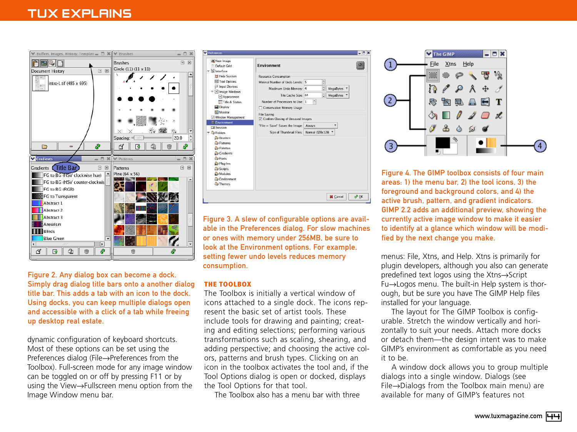# TUX EXPLAINS





Figure 3. A slew of configurable options are available in the Preferences dialog. For slow machines or ones with memory under 256MB, be sure to look at the Environment options. For example, setting fewer undo levels reduces memory consumption.

#### **THE TOOLBOX**

The Toolbox is initially a vertical window of icons attached to a single dock. The icons represent the basic set of artist tools. These include tools for drawing and painting; creating and editing selections; performing various transformations such as scaling, shearing, and adding perspective; and choosing the active colors, patterns and brush types. Clicking on an icon in the toolbox activates the tool and, if the Tool Options dialog is open or docked, displays the Tool Options for that tool.

The Toolbox also has a menu bar with three



Figure 4. The GIMP toolbox consists of four main areas: 1) the menu bar, 2) the tool icons, 3) the foreground and background colors, and 4) the active brush, pattern, and gradient indicators. GIMP 2.2 adds an additional preview, showing the currently active image window to make it easier to identify at a glance which window will be modified by the next change you make.

menus: File, Xtns, and Help. Xtns is primarily for plugin developers, although you also can generate predefined text logos using the Xtns→Script Fu→Logos menu. The built-in Help system is thorough, but be sure you have The GIMP Help files installed for your language.

The layout for The GIMP Toolbox is configurable. Stretch the window vertically and horizontally to suit your needs. Attach more docks or detach them—the design intent was to make GIMP's environment as comfortable as you need it to be.

A window dock allows you to group multiple dialogs into a single window. Dialogs (see File→Dialogs from the Toolbox main menu) are available for many of GIMP's features not

Figure 2. Any dialog box can become a dock. Simply drag dialog title bars onto a another dialog title bar. This adds a tab with an icon to the dock. Using docks, you can keep multiple dialogs open and accessible with a click of a tab while freeing up desktop real estate.

dynamic configuration of keyboard shortcuts. Most of these options can be set using the Preferences dialog (File→Preferences from the Toolbox). Full-screen mode for any image window can be toggled on or off by pressing F11 or by using the View→Fullscreen menu option from the Image Window menu bar.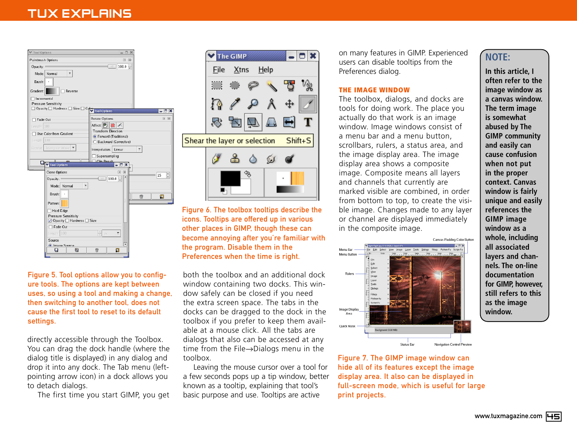# TUX EXPLAINS





directly accessible through the Toolbox. You can drag the dock handle (where the dialog title is displayed) in any dialog and drop it into any dock. The Tab menu (leftpointing arrow icon) in a dock allows you to detach dialogs.

The first time you start GIMP, you get



Figure 6. The toolbox tooltips describe the icons. Tooltips are offered up in various other places in GIMP, though these can become annoying after you're familiar with the program. Disable them in the Preferences when the time is right.

both the toolbox and an additional dock window containing two docks. This window safely can be closed if you need the extra screen space. The tabs in the docks can be dragged to the dock in the toolbox if you prefer to keep them available at a mouse click. All the tabs are dialogs that also can be accessed at any time from the File→Dialogs menu in the toolbox.

Leaving the mouse cursor over a tool for a few seconds pops up a tip window, better known as a tooltip, explaining that tool's basic purpose and use. Tooltips are active

on many features in GIMP. Experienced users can disable tooltips from the Preferences dialog.

### **THE IMAGE WINDOW**

The toolbox, dialogs, and docks are tools for doing work. The place you actually do that work is an image window. Image windows consist of a menu bar and a menu button, scrollbars, rulers, a status area, and the image display area. The image display area shows a composite image. Composite means all layers and channels that currently are marked visible are combined, in order from bottom to top, to create the visible image. Changes made to any layer or channel are displayed immediately in the composite image.



Figure 7. The GIMP image window can hide all of its features except the image display area. It also can be displayed in full-screen mode, which is useful for large print projects.

## **NOTE:**

**In this article, I often refer to the image window as a canvas window. The term image is somewhat abused by The GIMP community and easily can cause confusion when not put in the proper context. Canvas window is fairly unique and easily references the GIMP image window as a whole, including all associated layers and channels. The on-line documentation for GIMP, however, still refers to this as the image window.**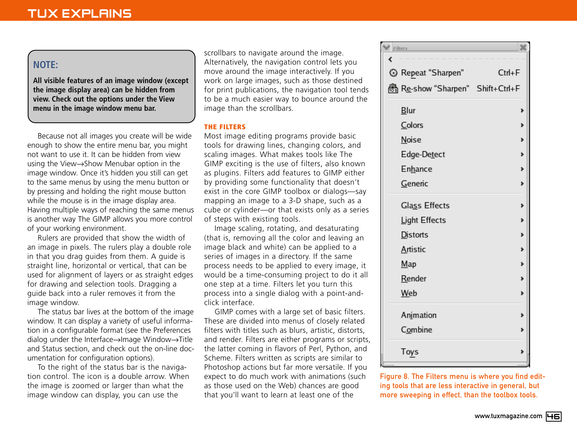# **NOTE:**

**All visible features of an image window (except the image display area) can be hidden from view. Check out the options under the View menu in the image window menu bar.**

Because not all images you create will be wide enough to show the entire menu bar, you might not want to use it. It can be hidden from view using the View→Show Menubar option in the image window. Once it's hidden you still can get to the same menus by using the menu button or by pressing and holding the right mouse button while the mouse is in the image display area. Having multiple ways of reaching the same menus is another way The GIMP allows you more control of your working environment.

Rulers are provided that show the width of an image in pixels. The rulers play a double role in that you drag guides from them. A guide is straight line, horizontal or vertical, that can be used for alignment of layers or as straight edges for drawing and selection tools. Dragging a guide back into a ruler removes it from the image window.

The status bar lives at the bottom of the image window. It can display a variety of useful information in a configurable format (see the Preferences dialog under the Interface→Image Window→Title and Status section, and check out the on-line documentation for configuration options).

To the right of the status bar is the navigation control. The icon is a double arrow. When the image is zoomed or larger than what the image window can display, you can use the

scrollbars to navigate around the image. Alternatively, the navigation control lets you move around the image interactively. If you work on large images, such as those destined for print publications, the navigation tool tends to be a much easier way to bounce around the image than the scrollbars.

## **THE FILTERS**

Most image editing programs provide basic tools for drawing lines, changing colors, and scaling images. What makes tools like The GIMP exciting is the use of filters, also known as plugins. Filters add features to GIMP either by providing some functionality that doesn't exist in the core GIMP toolbox or dialogs—say mapping an image to a 3-D shape, such as a cube or cylinder—or that exists only as a series of steps with existing tools.

Image scaling, rotating, and desaturating (that is, removing all the color and leaving an image black and white) can be applied to a series of images in a directory. If the same process needs to be applied to every image, it would be a time-consuming project to do it all one step at a time. Filters let you turn this process into a single dialog with a point-andclick interface.

GIMP comes with a large set of basic filters. These are divided into menus of closely related filters with titles such as blurs, artistic, distorts, and render. Filters are either programs or scripts, the latter coming in flavors of Perl, Python, and Scheme. Filters written as scripts are similar to Photoshop actions but far more versatile. If you expect to do much work with animations (such as those used on the Web) chances are good that you'll want to learn at least one of the

| Filters                        |            |
|--------------------------------|------------|
| ¢                              |            |
| <sup>5</sup> Repeat "Sharpen"  | $Ctrl + F$ |
| Re-show "Sharpen" Shift+Ctrl+F |            |
| <b>Blur</b>                    | ≯          |
| Colors                         | ≯          |
| <b>Noise</b>                   | Þ          |
| Edge-Detect                    | j.         |
| <b>Enhance</b>                 | þ          |
| Generic                        | ≯          |
| Glass Effects                  |            |
| Light Effects                  | þ.         |
| Distorts                       | Þ          |
| Artistic                       |            |
| Map                            | Þ.         |
| Render                         | j.         |
| Web                            | Þ          |
| Animation                      |            |
| Combine                        | þ          |
| Toys                           | d          |

Figure 8. The Filters menu is where you find editing tools that are less interactive in general, but more sweeping in effect, than the toolbox tools.